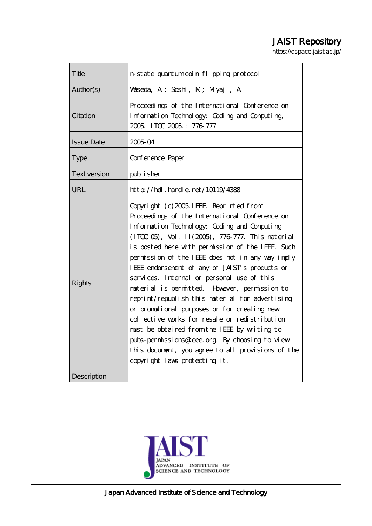# JAIST Repository

https://dspace.jaist.ac.jp/

| Title               | n state quantum coin flipping protocol                                                                                                                                                                                                                                                                                                                                                                                                                                                                                                                                                                                                                                                                                                                                                          |  |  |
|---------------------|-------------------------------------------------------------------------------------------------------------------------------------------------------------------------------------------------------------------------------------------------------------------------------------------------------------------------------------------------------------------------------------------------------------------------------------------------------------------------------------------------------------------------------------------------------------------------------------------------------------------------------------------------------------------------------------------------------------------------------------------------------------------------------------------------|--|--|
| Author(s)           | Waseda, A; Soshi, M; Miyaji, A                                                                                                                                                                                                                                                                                                                                                                                                                                                                                                                                                                                                                                                                                                                                                                  |  |  |
| Citation            | Proceedings of the International Conference on<br>Information Technology: Coding and Computing,<br>2005 ITCC 2005: 776-777                                                                                                                                                                                                                                                                                                                                                                                                                                                                                                                                                                                                                                                                      |  |  |
| <b>Issue Date</b>   | 200504                                                                                                                                                                                                                                                                                                                                                                                                                                                                                                                                                                                                                                                                                                                                                                                          |  |  |
| <b>Type</b>         | Conference Paper                                                                                                                                                                                                                                                                                                                                                                                                                                                                                                                                                                                                                                                                                                                                                                                |  |  |
| <b>Text version</b> | publisher                                                                                                                                                                                                                                                                                                                                                                                                                                                                                                                                                                                                                                                                                                                                                                                       |  |  |
| URL                 | $http$ // $hdl$ . handle. net/10119/4388                                                                                                                                                                                                                                                                                                                                                                                                                                                                                                                                                                                                                                                                                                                                                        |  |  |
| <b>Rights</b>       | Copyright (c) 2005. IEEE Reprinted from<br>Proceedings of the International Conference on<br>Information Technology: Coding and Computing<br>(ITCC 05), Vol. II (2005), 776-777. This naterial<br>is posted here with permission of the IEEE Such<br>permission of the IEEE does not in any way imply<br>IEEE endorsement of any of JAIST's products or<br>services. Internal or personal use of this<br>naterial is permitted However, permission to<br>reprint/republish this naterial for advertising<br>or promotional purposes or for creating new<br>collective works for resale or redistribution<br>must be obtained from the IEEE by writing to<br>pubs-permissions@ieee.org By choosing to view<br>this document, you agree to all provisions of the<br>copyright laws protecting it. |  |  |
| Description         |                                                                                                                                                                                                                                                                                                                                                                                                                                                                                                                                                                                                                                                                                                                                                                                                 |  |  |

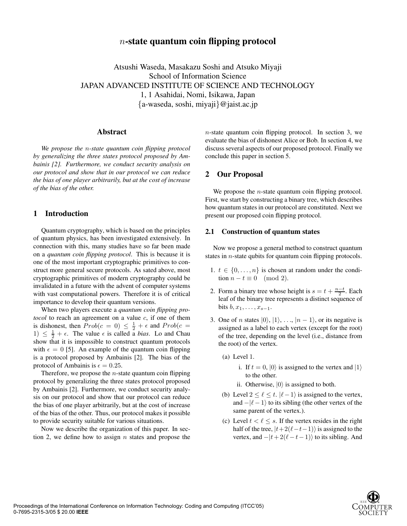# n**-state quantum coin flipping protocol**

Atsushi Waseda, Masakazu Soshi and Atsuko Miyaji School of Information Science JAPAN ADVANCED INSTITUTE OF SCIENCE AND TECHNOLOGY 1, 1 Asahidai, Nomi, Isikawa, Japan {a-waseda, soshi, miyaji}@jaist.ac.jp

#### **Abstract**

*We propose the* n*-state quantum coin flipping protocol by generalizing the three states protocol proposed by Ambainis [2]. Furthermore, we conduct security analysis on our protocol and show that in our protocol we can reduce the bias of one player arbitrarily, but at the cost of increase of the bias of the other.*

## **1 Introduction**

Quantum cryptography, which is based on the principles of quantum physics, has been investigated extensively. In connection with this, many studies have so far been made on a *quantum coin flipping protocol*. This is because it is one of the most important cryptographic primitives to construct more general secure protocols. As sated above, most cryptographic primitives of modern cryptography could be invalidated in a future with the advent of computer systems with vast computational powers. Therefore it is of critical importance to develop their quantum versions.

When two players execute a *quantum coin flipping protocol* to reach an agreement on a value c, if one of them is dishonest, then  $Prob(c = 0) \leq \frac{1}{2} + \epsilon$  and  $Prob(c = 0)$ 1)  $\leq \frac{1}{2} + \epsilon$ . The value  $\epsilon$  is called a *bias*. Lo and Chau show that it is impossible to construct quantum protocols with  $\epsilon = 0$  [5]. An example of the quantum coin flipping is a protocol proposed by Ambainis [2]. The bias of the protocol of Ambainis is  $\epsilon = 0.25$ .

Therefore, we propose the  $n$ -state quantum coin flipping protocol by generalizing the three states protocol proposed by Ambainis [2]. Furthermore, we conduct security analysis on our protocol and show that our protocol can reduce the bias of one player arbitrarily, but at the cost of increase of the bias of the other. Thus, our protocol makes it possible to provide security suitable for various situations.

Now we describe the organization of this paper. In section 2, we define how to assign  $n$  states and propose the  $n$ -state quantum coin flipping protocol. In section 3, we evaluate the bias of dishonest Alice or Bob. In section 4, we discuss several aspects of our proposed protocol. Finally we conclude this paper in section 5.

## **2 Our Proposal**

We propose the *n*-state quantum coin flipping protocol. First, we start by constructing a binary tree, which describes how quantum states in our protocol are constituted. Next we present our proposed coin flipping protocol.

#### **2.1 Construction of quantum states**

Now we propose a general method to construct quantum states in  $n$ -state qubits for quantum coin flipping protocols.

- 1.  $t \in \{0, \ldots, n\}$  is chosen at random under the condition  $n - t \equiv 0 \pmod{2}$ .
- 2. Form a binary tree whose height is  $s = t + \frac{n-t}{2}$ . Each leaf of the binary tree represents a distinct sequence of bits  $b, x_1, \ldots, x_{s-1}$ .
- 3. One of n states  $|0\rangle$ ,  $|1\rangle$ , ...,  $|n-1\rangle$ , or its negative is assigned as a label to each vertex (except for the root) of the tree, depending on the level (i.e., distance from the root) of the vertex.
	- (a) Level 1.
		- i. If  $t = 0$ ,  $|0\rangle$  is assigned to the vertex and  $|1\rangle$ to the other.
		- ii. Otherwise,  $|0\rangle$  is assigned to both.
	- (b) Level  $2 \le \ell \le t$ .  $|\ell 1\rangle$  is assigned to the vertex, and  $-|\ell - 1\rangle$  to its sibling (the other vertex of the same parent of the vertex.).
	- (c) Level  $t < \ell \leq s$ . If the vertex resides in the right half of the tree,  $|t+2(\ell-t-1)\rangle$  is assigned to the vertex, and  $-|t+2(\ell-t-1)\rangle$  to its sibling. And